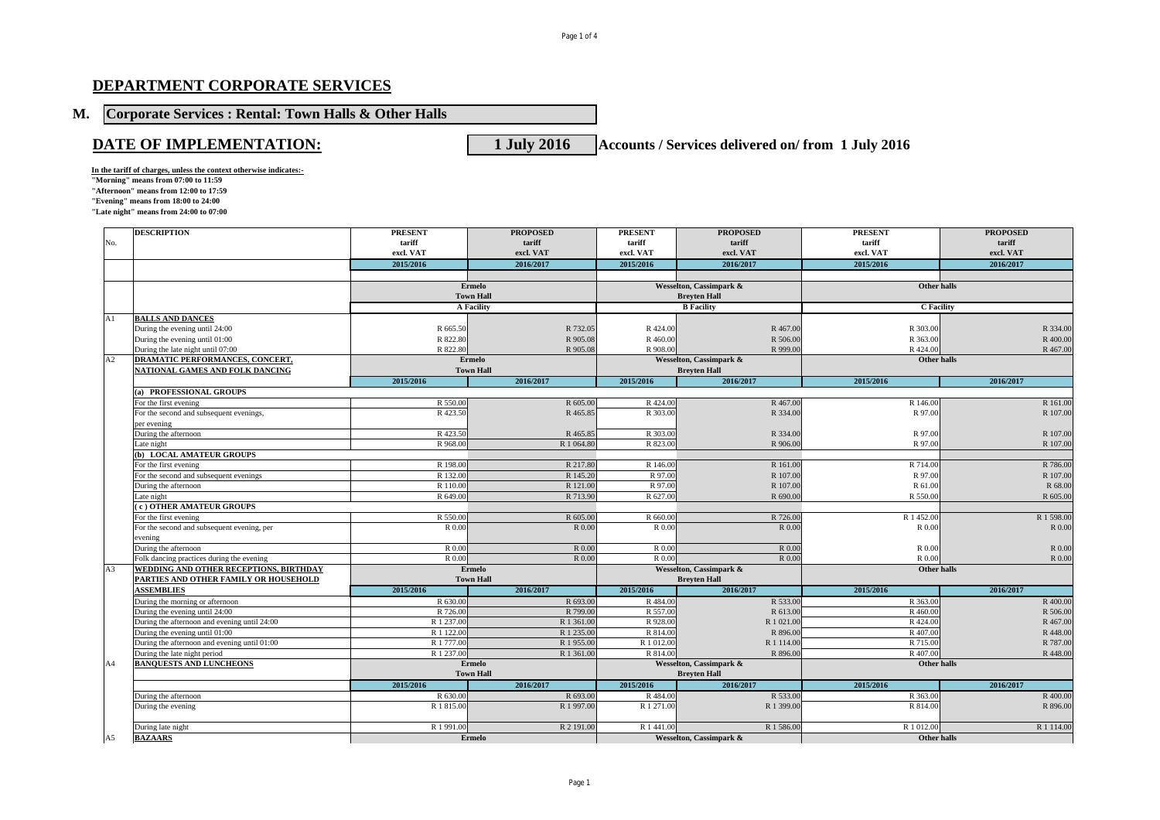## **DEPARTMENT CORPORATE SERVICES**

## **M. Corporate Services : Rental: Town Halls & Other Halls**

**DATE OF IMPLEMENTATION:** 1 July 2016 **Accounts / Services delivered on/ from 1 July 2016** 

**In the tariff of charges, unless the context otherwise indicates:-**

**"Morning" means from 07:00 to 11:59 "Afternoon" means from 12:00 to 17:59 "Evening" means from 18:00 to 24:00 "Late night" means from 24:00 to 07:00**

|                | <b>DESCRIPTION</b>                           | <b>PRESENT</b>   | <b>PROPOSED</b>   | <b>PRESENT</b>                         | <b>PROPOSED</b>         | <b>PRESENT</b>     | <b>PROPOSED</b> |
|----------------|----------------------------------------------|------------------|-------------------|----------------------------------------|-------------------------|--------------------|-----------------|
| No.            |                                              | tariff           | tariff            | tariff                                 | tariff                  | tariff             | tariff          |
|                |                                              | excl. VAT        | excl. VAT         | excl. VAT                              | excl. VAT               | excl. VAT          | excl. VAT       |
|                |                                              | 2015/2016        | 2016/2017         | 2015/2016                              | 2016/2017               | 2015/2016          | 2016/2017       |
|                |                                              |                  |                   |                                        |                         |                    |                 |
|                |                                              |                  | <b>Ermelo</b>     |                                        | Wesselton, Cassimpark & | <b>Other halls</b> |                 |
|                |                                              |                  | <b>Town Hall</b>  |                                        | <b>Brevten Hall</b>     |                    |                 |
|                |                                              |                  | <b>A Facility</b> |                                        | <b>B</b> Facility       | <b>C</b> Facility  |                 |
| A1             | <b>BALLS AND DANCES</b>                      |                  |                   |                                        |                         |                    |                 |
|                | During the evening until 24:00               | R 665.50         | R 732.05          | R 424.00                               | R 467.00                | R 303.00           | R 334.00        |
|                | During the evening until 01:00               | R 822.80         | R 905.08          | R 460.00                               | R 506.00                | R 363.00           | R 400.00        |
|                | During the late night until 07:00            | R 822.80         | R 905.08          | R 908.00                               | R 999.00                | R 424.00           | R 467.00        |
| A2             | DRAMATIC PERFORMANCES, CONCERT,              |                  | Ermelo            |                                        | Wesselton, Cassimpark & | Other halls        |                 |
|                | NATIONAL GAMES AND FOLK DANCING              | <b>Town Hall</b> |                   | <b>Breyten Hall</b>                    |                         |                    |                 |
|                |                                              | 2015/2016        | 2016/2017         | 2015/2016                              | 2016/2017               | 2015/2016          | 2016/2017       |
|                | (a) PROFESSIONAL GROUPS                      |                  |                   |                                        |                         |                    |                 |
|                | For the first evening                        | R 550.00         | R 605.00          | R 424.00                               | R 467.00                | R 146.00           | R 161.00        |
|                | For the second and subsequent evenings,      | R423.50          | R 465.85          | R 303.00                               | R 334.00                | R 97.00            | R 107.00        |
|                | per evening                                  |                  |                   |                                        |                         |                    |                 |
|                | During the afternoon                         | R 423.50         | R 465.85          | R 303.00                               | R 334.00                | R 97.00            | R 107.00        |
|                | Late night                                   | R 968.00         | R 1 064.80        | R 823.00                               | R 906.00                | R 97.00            | R 107.00        |
|                | (b) LOCAL AMATEUR GROUPS                     |                  |                   |                                        |                         |                    |                 |
|                | For the first evening                        | R 198.00         | R 217.80          | R 146.00                               | R 161.00                | R 714.00           | R 786.00        |
|                | For the second and subsequent evenings       | R 132.00         | R 145.20          | R 97.00                                | R 107.00                | R 97.00            | R 107.00        |
|                | During the afternoon                         | R 110.00         | R 121.00          | R 97.00                                | R 107.00                | R 61.00            | R 68.00         |
|                | Late night                                   | R 649.00         | R 713.90          | R 627.00                               | R 690.00                | R 550.00           | R 605.00        |
|                | (c) OTHER AMATEUR GROUPS                     |                  |                   |                                        |                         |                    |                 |
|                | For the first evening                        | R 550.00         | R 605.00          | R 660.00                               | R 726.00                | R 1 452.00         | R 1 598.00      |
|                | For the second and subsequent evening, per   | R 0.00           | R 0.00            | R 0.00                                 | R 0.00                  | R 0.00             | R 0.00          |
|                | evening                                      |                  |                   |                                        |                         |                    |                 |
|                | During the afternoon                         | R 0.00           | R 0.00            | R 0.00                                 | R 0.00                  | R 0.00             | R 0.00          |
|                | Folk dancing practices during the evening    | R 0.00           | R 0.00            | R 0.00                                 | R 0.00                  | R 0.00             | R 0.00          |
| A <sub>3</sub> | WEDDING AND OTHER RECEPTIONS, BIRTHDAY       | <b>Ermelo</b>    |                   | Wesselton, Cassimpark &<br>Other halls |                         |                    |                 |
|                | PARTIES AND OTHER FAMILY OR HOUSEHOLD        |                  | <b>Town Hall</b>  | <b>Brevten Hall</b>                    |                         |                    |                 |
|                | <b>ASSEMBLIES</b>                            | 2015/2016        | 2016/2017         | 2015/2016                              | 2016/2017               | 2015/2016          | 2016/2017       |
|                | During the morning or afternoon              | R 630.00         | R 693.00          | R 484.00                               | R 533.00                | R 363.00           | R 400.00        |
|                | During the evening until 24:00               | R 726.00         | R 799.00          | R 557.00                               | R 613.00                | R 460.00           | R 506.00        |
|                | During the afternoon and evening until 24:00 | R 1 237.00       | R 1 361.00        | R 928.00                               | R 1 021.00              | R 424.00           | R 467.00        |
|                | During the evening until 01:00               | R 1 122.00       | R 1 235.00        | R 814.00                               | R 896.00                | R 407.00           | R 448.00        |
|                | During the afternoon and evening until 01:00 | R 1 777.00       | R 1 955.00        | R 1 012.00                             | R 1 114.00              | R 715.00           | R 787.00        |
|                | During the late night period                 | R 1 237.00       | R 1 361.00        | R 814.00                               | R 896.00                | R 407.00           | R 448.00        |
| A4             | <b>BANQUESTS AND LUNCHEONS</b>               |                  | Ermelo            |                                        | Wesselton, Cassimpark & | Other halls        |                 |
|                |                                              |                  | <b>Town Hall</b>  |                                        | <b>Breyten Hall</b>     |                    |                 |
|                |                                              | 2015/2016        | 2016/2017         | 2015/2016                              | 2016/2017               | 2015/2016          | 2016/2017       |
|                | During the afternoon                         | R 630.00         | R 693.00          | R484.00                                | R 533.00                | R 363.00           | R 400.00        |
|                | During the evening                           | R 1 815.00       | R 1 997.00        | R 1 271.00                             | R 1 399.00              | R 814.00           | R 896.00        |
|                |                                              |                  |                   |                                        |                         |                    |                 |
|                | During late night                            | R 1 991.00       | R 2 191.00        | R 1 441.00                             | R 1 586.00              | R 1 012.00         | R 1 114.00      |
| A5             | <b>BAZAARS</b>                               |                  | Ermelo            |                                        | Wesselton, Cassimpark & | Other halls        |                 |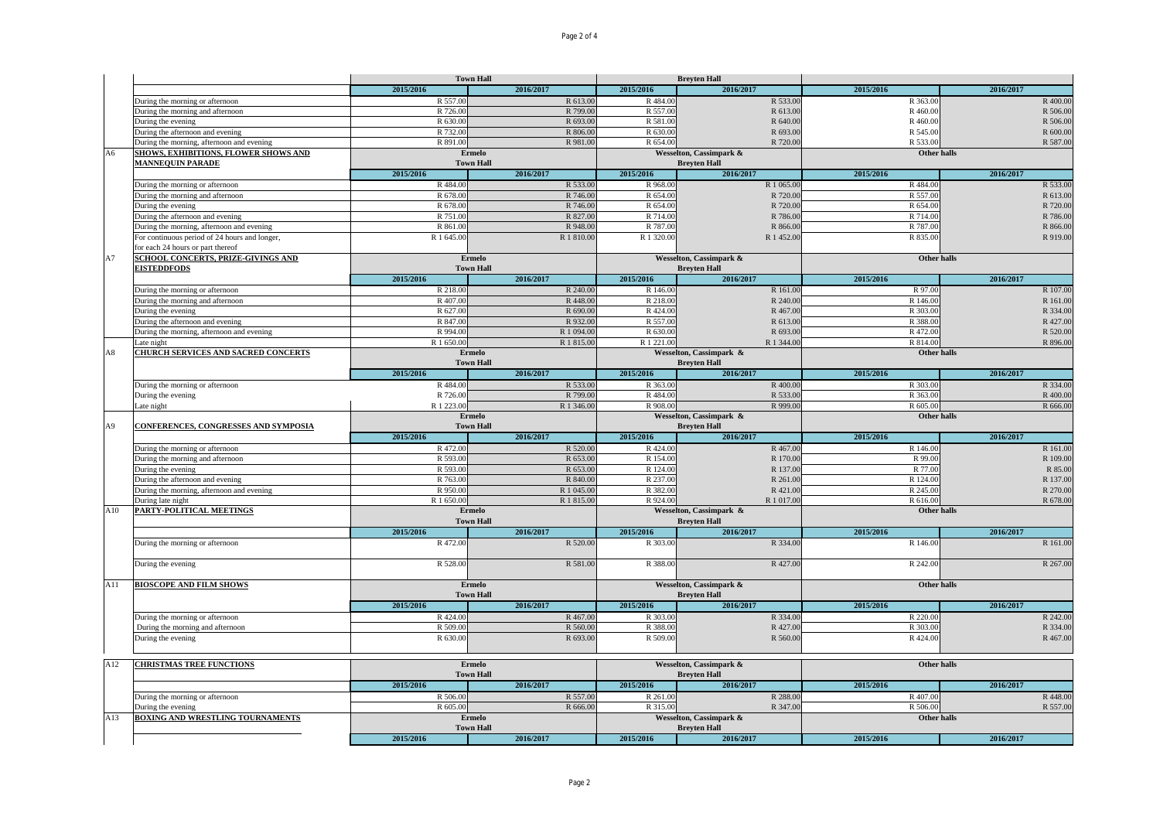|                |                                               |                            | <b>Town Hall</b> |                                                | <b>Brevten Hall</b>     |                    |                                                                                                                                                                      |
|----------------|-----------------------------------------------|----------------------------|------------------|------------------------------------------------|-------------------------|--------------------|----------------------------------------------------------------------------------------------------------------------------------------------------------------------|
|                |                                               | 2015/2016                  | 2016/2017        | 2015/2016                                      | 2016/2017               | 2015/2016          | 2016/2017                                                                                                                                                            |
|                | During the morning or afternoon               | R 557.00                   | R 613.00         | R484.00                                        | R 533.00                | R 363.00           | R 400.00                                                                                                                                                             |
|                | During the morning and afternoon              | R 726.00                   | R 799.00         | R 557.00                                       | R 613.00                | R 460.00           | R 506.00                                                                                                                                                             |
|                | During the evening                            | R 630.00                   | R 693.00         | R 581.00                                       | R 640.00                | R 460.00           | R 506.00                                                                                                                                                             |
|                | During the afternoon and evening              | R 732.00                   | R 806.00         | R 630.00                                       | R 693.00                | R 545.00           | R 600.00                                                                                                                                                             |
|                | During the morning, afternoon and evening     | R 891.00                   | R 981.00         | R 654.00                                       | R 720.00                | R 533.00           | R 587.00                                                                                                                                                             |
| A6             | SHOWS, EXHIBITIONS, FLOWER SHOWS AND          |                            | Ermelo           |                                                | Wesselton, Cassimpark & | <b>Other halls</b> |                                                                                                                                                                      |
|                | <b>MANNEQUIN PARADE</b>                       | <b>Town Hall</b>           |                  |                                                | <b>Breyten Hall</b>     |                    |                                                                                                                                                                      |
|                |                                               | 2015/2016                  | 2016/2017        | 2015/2016                                      | 2016/2017               | 2015/2016          | 2016/2017                                                                                                                                                            |
|                | During the morning or afternoon               | R 484.00                   | R 533.00         | R 968.00                                       | R 1 065.00              | R 484.00           | R 533.00                                                                                                                                                             |
|                | During the morning and afternoon              | R 678.00                   | R 746.00         | R 654.00                                       | R 720.00                | R 557.00           | R 613.00                                                                                                                                                             |
|                |                                               | R 678.00                   | R 746.00         | R 654.00                                       | R 720.00                | R 654.00           | R 720.00                                                                                                                                                             |
|                | During the evening                            | R 751.00                   | R 827.0          | R 714.00                                       | R 786.00                | R 714.00           |                                                                                                                                                                      |
|                | During the afternoon and evening              | R 861.00                   |                  |                                                |                         |                    | R 786.00                                                                                                                                                             |
|                | During the morning, afternoon and evening     |                            | R 948.00         | R 787.00                                       | R 866.00                | R 787.00           | R 866.00                                                                                                                                                             |
|                | For continuous period of 24 hours and longer, | R 1 645.00                 | R 1 810.00       | R 1 320.00                                     | R 1 452.00              | R 835.00           | R 919.00                                                                                                                                                             |
|                | for each 24 hours or part thereof             |                            |                  |                                                |                         |                    |                                                                                                                                                                      |
| A7             | SCHOOL CONCERTS, PRIZE-GIVINGS AND            | Ermelo<br><b>Town Hall</b> |                  | Wesselton, Cassimpark &<br><b>Breyten Hall</b> |                         | Other halls        |                                                                                                                                                                      |
|                | <b>EISTEDDFODS</b>                            |                            |                  |                                                |                         |                    |                                                                                                                                                                      |
|                |                                               | 2015/2016                  | 2016/2017        | 2015/2016                                      | 2016/2017               | 2015/2016          | 2016/2017                                                                                                                                                            |
|                | During the morning or afternoon               | R 218.00                   | R 240.00         | R 146.00                                       | R 161.00                | R 97.00            | R 107.00                                                                                                                                                             |
|                | During the morning and afternoon              | R 407.0                    | R 448.00         | R 218.00                                       | R 240.00                | R 146.00           | R 161.00                                                                                                                                                             |
|                | During the evening                            | R 627.00                   | R 690.00         | R 424.00                                       | R 467.00                | R 303.00           | R 334.00                                                                                                                                                             |
|                | During the afternoon and evening              | R 847.00                   | R 932.00         | R 557.00                                       | R 613.00                | R 388.00           | R 427.00                                                                                                                                                             |
|                | During the morning, afternoon and evening     | R 994.00                   | R 1 094.00       | R 630.00                                       | R 693.00                | R 472.00           | R 520.00                                                                                                                                                             |
|                | Late night                                    | R 1 650.00                 | R 1 815.00       | R 1 221.00                                     | R 1 344.00              | R 814.00           | R 896.00                                                                                                                                                             |
| A8             | <b>CHURCH SERVICES AND SACRED CONCERTS</b>    |                            | Ermelo           |                                                | Wesselton, Cassimpark & | Other halls        |                                                                                                                                                                      |
|                |                                               |                            | <b>Town Hall</b> | <b>Breyten Hall</b>                            |                         |                    |                                                                                                                                                                      |
|                |                                               | 2015/2016                  | 2016/2017        | 2015/2016                                      | 2016/2017               | 2015/2016          | 2016/2017                                                                                                                                                            |
|                | During the morning or afternoon               | R 484.00                   | R 533.00         | R 363.00                                       | R 400.00                | R 303.00           | R 334.00                                                                                                                                                             |
|                | During the evening                            | R 726.00                   | R 799.00         | R 484.00                                       | R 533.00                | R 363.00           | R 400.00                                                                                                                                                             |
|                | Late night                                    | R 1 223.00                 | R 1 346.00       | R 908.00                                       | R 999.00                | R 605.00           | R 666.00                                                                                                                                                             |
|                |                                               | <b>Ermelo</b>              |                  | Wesselton, Cassimpark &                        |                         | Other halls        |                                                                                                                                                                      |
|                | CONFERENCES, CONGRESSES AND SYMPOSIA          |                            |                  |                                                |                         |                    |                                                                                                                                                                      |
|                |                                               |                            |                  |                                                |                         |                    |                                                                                                                                                                      |
| A <sub>9</sub> |                                               |                            | <b>Town Hall</b> |                                                | <b>Breyten Hall</b>     |                    |                                                                                                                                                                      |
|                |                                               | 2015/2016                  | 2016/2017        | 2015/2016                                      | 2016/2017               | 2015/2016          | 2016/2017                                                                                                                                                            |
|                | During the morning or afternoon               | R 472.00                   | R 520.00         | R 424.00                                       | R 467.00                | R 146.00           |                                                                                                                                                                      |
|                | During the morning and afternoon              | R 593.00                   | R 653.00         | R 154.00                                       | R 170.00                | R 99.00            |                                                                                                                                                                      |
|                | During the evening                            | R 593.00                   | R 653.00         | R 124.00                                       | R 137.00                | R 77.00            |                                                                                                                                                                      |
|                | During the afternoon and evening              | R 763.00                   | R 840.00         | R 237.00                                       | R 261.00                | R 124.00           |                                                                                                                                                                      |
|                | During the morning, afternoon and evening     | R 950.00                   | R 1 045.00       | R 382.00                                       | R 421.00                | R 245.00           |                                                                                                                                                                      |
|                | During late night                             | R 1 650.00                 | R 1 815.00       | R 924.00                                       | R 1 017.00              | R 616.00           |                                                                                                                                                                      |
| A10            | PARTY-POLITICAL MEETINGS                      |                            | <b>Ermelo</b>    |                                                | Wesselton, Cassimpark & | Other halls        |                                                                                                                                                                      |
|                |                                               |                            | <b>Town Hall</b> |                                                | <b>Brevten Hall</b>     |                    |                                                                                                                                                                      |
|                |                                               | 2015/2016                  | 2016/2017        | 2015/2016                                      | 2016/2017               | 2015/2016          | 2016/2017                                                                                                                                                            |
|                | During the morning or afternoon               | R 472.00                   | R 520.00         | R 303.00                                       | R 334.00                | R 146.00           |                                                                                                                                                                      |
|                |                                               |                            |                  |                                                |                         |                    |                                                                                                                                                                      |
|                | During the evening                            | R 528.00                   | R 581.00         | R 388.00                                       | R 427.00                | R 242.00           |                                                                                                                                                                      |
|                |                                               |                            |                  |                                                |                         |                    |                                                                                                                                                                      |
| A11            | <b>BIOSCOPE AND FILM SHOWS</b>                |                            | Ermelo           |                                                | Wesselton, Cassimpark & | <b>Other halls</b> |                                                                                                                                                                      |
|                |                                               |                            | <b>Town Hall</b> |                                                | <b>Breyten Hall</b>     |                    |                                                                                                                                                                      |
|                |                                               | 2015/2016                  | 2016/2017        | 2015/2016                                      | 2016/2017               | 2015/2016          | 2016/2017                                                                                                                                                            |
|                | During the morning or afternoon               | R 424.00                   | R 467.00         | R 303.00                                       | R 334.00                | R 220.00           |                                                                                                                                                                      |
|                |                                               | R 509.00                   |                  | R 388.00                                       | R 427.00                | R 303.00           |                                                                                                                                                                      |
|                | During the morning and afternoon              |                            | R 560.00         |                                                |                         |                    |                                                                                                                                                                      |
|                | During the evening                            | R 630.00                   | R 693.00         | R 509.00                                       | R 560.00                | R 424.00           |                                                                                                                                                                      |
|                |                                               |                            |                  |                                                |                         |                    |                                                                                                                                                                      |
| A12            | <b>CHRISTMAS TREE FUNCTIONS</b>               |                            | Ermelo           |                                                | Wesselton, Cassimpark & | Other halls        |                                                                                                                                                                      |
|                |                                               |                            | <b>Town Hall</b> |                                                | <b>Brevten Hall</b>     |                    |                                                                                                                                                                      |
|                |                                               | 2015/2016                  | 2016/2017        | 2015/2016                                      | 2016/2017               | 2015/2016          | 2016/2017                                                                                                                                                            |
|                | During the morning or afternoon               | R 506.00                   | R 557.00         | R 261.00                                       | R 288.00                | R 407.00           |                                                                                                                                                                      |
|                | During the evening                            | R 605.00                   | R 666.00         | R 315.00                                       | R 347.00                | R 506.00           |                                                                                                                                                                      |
| A13            | <b>BOXING AND WRESTLING TOURNAMENTS</b>       |                            | <b>Ermelo</b>    |                                                | Wesselton, Cassimpark & | Other halls        |                                                                                                                                                                      |
|                |                                               |                            | <b>Town Hall</b> |                                                | <b>Breyten Hall</b>     |                    |                                                                                                                                                                      |
|                |                                               | 2015/2016                  | 2016/2017        | 2015/2016                                      | 2016/2017               | 2015/2016          | R 161.00<br>R 109.00<br>R 85.00<br>R 137.00<br>R 270.00<br>R 678.00<br>R 161.00<br>R 267.00<br>R 242.00<br>R 334.00<br>R 467.00<br>R 448.00<br>R 557.00<br>2016/2017 |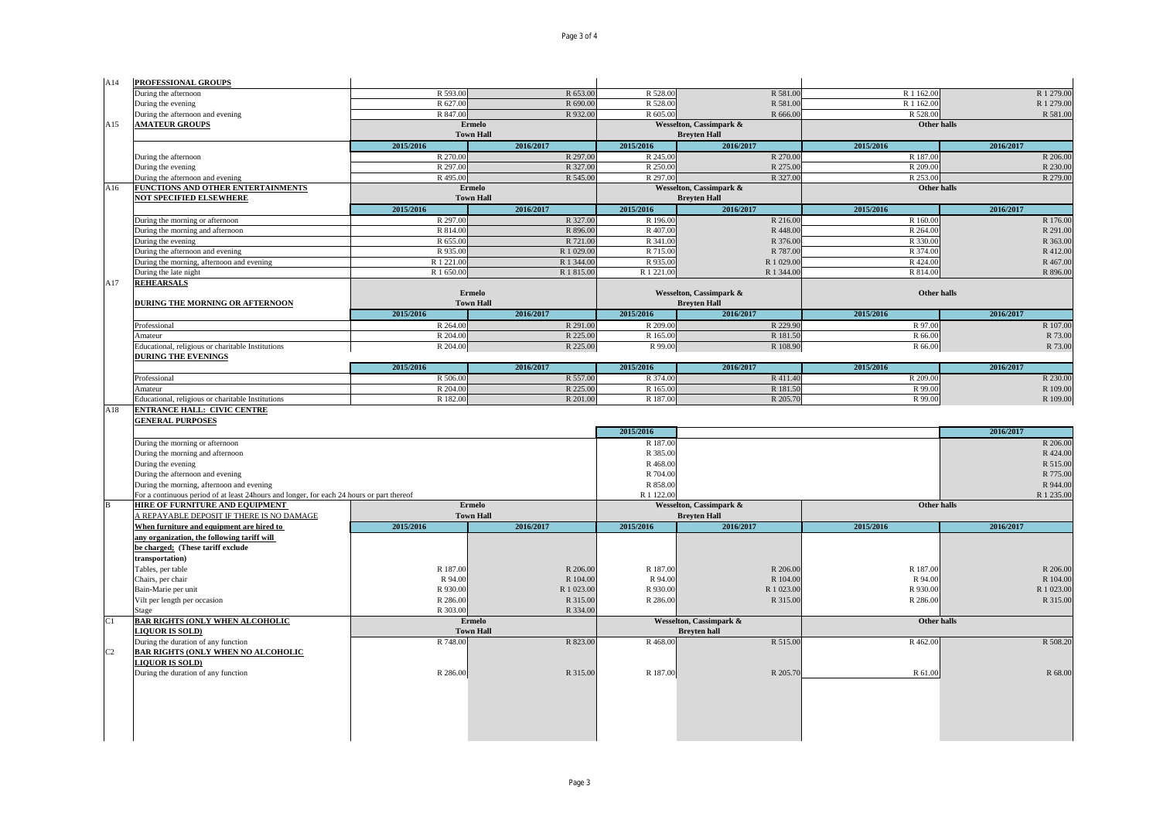| A14 | PROFESSIONAL GROUPS                                                                       | R 593.00             | R 653.00                   | R 528.00                                       | R 581.00                                       | R 1 162.00           | R 1 279.00          |  |
|-----|-------------------------------------------------------------------------------------------|----------------------|----------------------------|------------------------------------------------|------------------------------------------------|----------------------|---------------------|--|
|     | During the afternoon<br>During the evening                                                | R 627.00             | R 690.00                   | R 528.00                                       | R 581.00                                       | R 1 162.00           | R 1 279.00          |  |
|     | During the afternoon and evening                                                          | R 847.00             | R 932.00                   | R 605.00                                       | R 666.00                                       | R 528.00             | R 581.00            |  |
| A15 | <b>AMATEUR GROUPS</b>                                                                     |                      | Ermelo                     |                                                | <b>Wesselton, Cassimpark &amp;</b>             | Other halls          |                     |  |
|     |                                                                                           |                      | <b>Town Hall</b>           |                                                | <b>Brevten Hall</b>                            |                      |                     |  |
|     |                                                                                           | 2015/2016            | 2016/2017                  | 2015/2016                                      | 2016/2017                                      | 2015/2016            | 2016/2017           |  |
|     | During the afternoon                                                                      | R 270.00             | R 297.00                   | R 245.00                                       | R 270.00                                       | R 187.00             | R 206.00            |  |
|     | During the evening                                                                        | R 297.00             | R 327.00                   | R 250.00                                       | R 275.00                                       | R 209.00<br>R 253,00 | R 230.00            |  |
| A16 | During the afternoon and evening<br>FUNCTIONS AND OTHER ENTERTAINMENTS                    | R 495.00             | R 545.00<br><b>Ermelo</b>  | R 297.00                                       | R 327.00                                       | Other halls          | R 279.00            |  |
|     | <b>NOT SPECIFIED ELSEWHERE</b>                                                            |                      | <b>Town Hall</b>           | Wesselton, Cassimpark &<br><b>Breyten Hall</b> |                                                |                      |                     |  |
|     |                                                                                           | 2015/2016            | 2016/2017                  | 2015/2016                                      | 2016/2017                                      | 2015/2016            | 2016/2017           |  |
|     | During the morning or afternoon                                                           | R 297.00             | R 327.00                   | R 196.00                                       | R 216.00                                       | R 160.00             | R 176.00            |  |
|     | During the morning and afternoon                                                          | R 814.00             | R 896.00                   | R 407.00                                       | R 448.00                                       | R 264.00             | R 291.00            |  |
|     | During the evening                                                                        | R 655.00             | R 721.00                   | R 341.00                                       | R 376.00                                       | R 330.00             | R 363.00            |  |
|     | During the afternoon and evening                                                          | R 935.00             | R 1 029.00                 | R 715.00                                       | R 787.00                                       | R 374.00             | R 412.00            |  |
|     | During the morning, afternoon and evening                                                 | R 1 221.00           | R 1 344.00                 | R 935.00                                       | R 1 029.00                                     | R 424.00             | R 467.00            |  |
|     | During the late night                                                                     | R 1 650.00           | R 1 815.00                 | R 1 221.00                                     | R 1 344.00                                     | R 814.00             | R 896.00            |  |
| A17 | <b>REHEARSALS</b>                                                                         |                      |                            |                                                |                                                |                      |                     |  |
|     |                                                                                           |                      | <b>Ermelo</b>              | Wesselton, Cassimpark &                        |                                                | Other halls          |                     |  |
|     | DURING THE MORNING OR AFTERNOON                                                           |                      | <b>Town Hall</b>           |                                                | <b>Brevten Hall</b>                            |                      |                     |  |
|     |                                                                                           | 2015/2016            | 2016/2017<br>R 291.00      | 2015/2016<br>R 209.00                          | 2016/2017<br>R 229.90                          | 2015/2016            | 2016/2017           |  |
|     | Professional<br>Amateur                                                                   | R 264.00<br>R 204.00 | R 225.00                   | R 165.00                                       | R 181.50                                       | R 97.00<br>R 66.00   | R 107.00<br>R 73.00 |  |
|     | Educational, religious or charitable Institutions                                         | R 204.00             | R 225.00                   | R 99.00                                        | R 108.90                                       | R 66.00              | R 73.00             |  |
|     | <b>DURING THE EVENINGS</b>                                                                |                      |                            |                                                |                                                |                      |                     |  |
|     |                                                                                           | 2015/2016            | 2016/2017                  | 2015/2016                                      | 2016/2017                                      | 2015/2016            | 2016/2017           |  |
|     | Professional                                                                              | R 506.00             | R 557.00                   | R 374.00                                       | R 411.40                                       | R 209.00             | R 230.00            |  |
|     | Amateur                                                                                   | R 204.00             | R 225.00                   | R 165.00                                       | R 181.50                                       | R 99.00              | R 109.00            |  |
|     | Educational, religious or charitable Institutions                                         | R 182.00             | R 201.00                   | R 187.00                                       | R 205.70                                       | R 99.00              | R 109.00            |  |
| A18 | <b>ENTRANCE HALL: CIVIC CENTRE</b>                                                        |                      |                            |                                                |                                                |                      |                     |  |
|     | <b>GENERAL PURPOSES</b>                                                                   |                      |                            |                                                |                                                |                      |                     |  |
|     |                                                                                           |                      |                            |                                                |                                                |                      |                     |  |
|     |                                                                                           |                      |                            | 2015/2016                                      |                                                |                      | 2016/2017           |  |
|     | During the morning or afternoon                                                           |                      |                            | R 187.00                                       |                                                |                      | R 206.00            |  |
|     | During the morning and afternoon                                                          |                      |                            | R 385.00                                       |                                                |                      | R 424.00            |  |
|     | During the evening                                                                        |                      |                            | R 468.00                                       |                                                |                      | R 515.00            |  |
|     | During the afternoon and evening                                                          |                      |                            | R 704.00                                       |                                                |                      | R 775.00            |  |
|     | During the morning, afternoon and evening                                                 |                      |                            | R 858.00                                       |                                                |                      | R 944.00            |  |
|     | For a continuous period of at least 24hours and longer, for each 24 hours or part thereof |                      |                            | R 1 122.00                                     |                                                |                      | R 1 235.00          |  |
|     | HIRE OF FURNITURE AND EQUIPMENT<br>A REPAYABLE DEPOSIT IF THERE IS NO DAMAGE              |                      | Ermelo<br><b>Town Hall</b> |                                                | Wesselton, Cassimpark &<br><b>Breyten Hall</b> | Other halls          |                     |  |
|     | When furniture and equipment are hired to                                                 | 2015/2016            | 2016/2017                  | 2015/2016                                      | 2016/2017                                      | 2015/2016            | 2016/2017           |  |
|     | any organization, the following tariff will                                               |                      |                            |                                                |                                                |                      |                     |  |
|     | be charged; (These tariff exclude                                                         |                      |                            |                                                |                                                |                      |                     |  |
|     | transportation)                                                                           |                      |                            |                                                |                                                |                      |                     |  |
|     | Tables, per table                                                                         | R 187.00             | R 206.00                   | R 187.00                                       | R 206.00                                       | R 187.00             | R 206.00            |  |
|     | Chairs, per chair                                                                         | R 94.00              | R 104.00                   | R 94.00                                        | R 104.00                                       | R 94.00              | R 104.00            |  |
|     | Bain-Marie per unit                                                                       | R 930.00             | R 1 023.00                 | R 930.00                                       | R 1 023.00                                     | R 930.00             | R 1 023.00          |  |
|     | Vilt per length per occasion                                                              | R 286.00             | R 315.00                   | R 286.00                                       | R 315.00                                       | R 286.00             | R 315.00            |  |
|     | Stage                                                                                     | R 303.00             | R 334.00                   |                                                |                                                |                      |                     |  |
| C1  | <b>BAR RIGHTS (ONLY WHEN ALCOHOLIC</b>                                                    |                      | Ermelo                     |                                                | Wesselton, Cassimpark &                        | <b>Other halls</b>   |                     |  |
|     | <b>LIQUOR IS SOLD)</b>                                                                    |                      | <b>Town Hall</b>           |                                                | <b>Breyten hall</b>                            |                      |                     |  |
| C2  | During the duration of any function<br><b>BAR RIGHTS (ONLY WHEN NO ALCOHOLIC</b>          | R 748.00             | R 823.00                   | R 468.00                                       | R 515.00                                       | R 462.00             |                     |  |
|     | <b>LIQUOR IS SOLD)</b>                                                                    |                      |                            |                                                |                                                |                      |                     |  |
|     | During the duration of any function                                                       | R 286.00             | R 315.00                   | R 187.00                                       | R 205.70                                       | R 61.00              | R 508.20<br>R 68.00 |  |
|     |                                                                                           |                      |                            |                                                |                                                |                      |                     |  |
|     |                                                                                           |                      |                            |                                                |                                                |                      |                     |  |
|     |                                                                                           |                      |                            |                                                |                                                |                      |                     |  |
|     |                                                                                           |                      |                            |                                                |                                                |                      |                     |  |
|     |                                                                                           |                      |                            |                                                |                                                |                      |                     |  |

Page 3 of 4